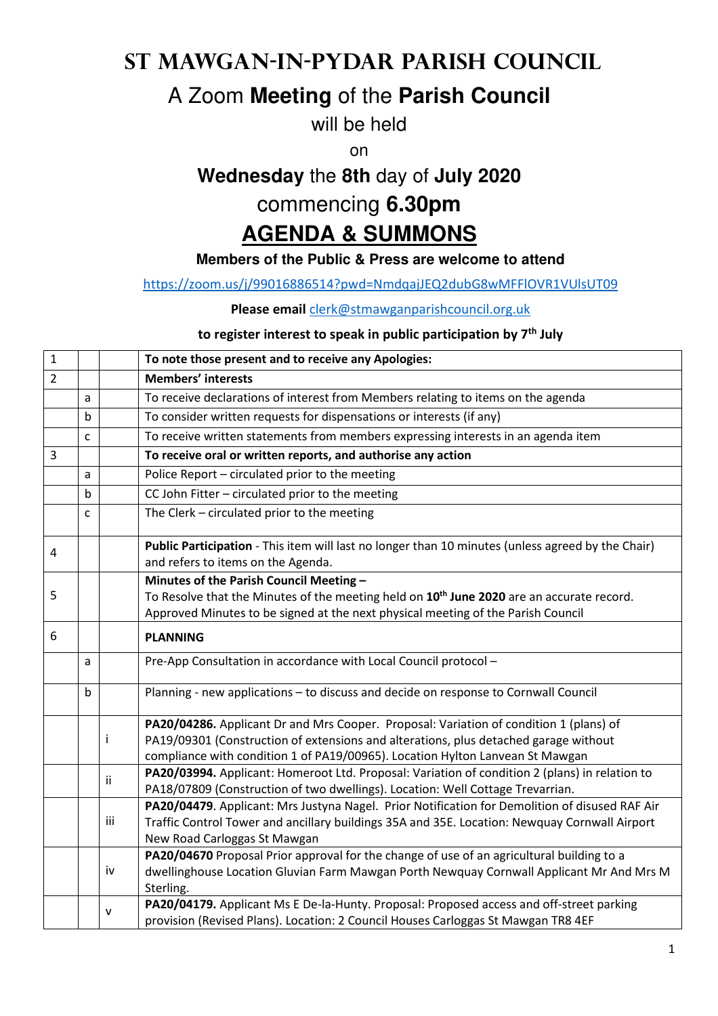# **St Mawgan-in-Pydar Parish Council**

## A Zoom **Meeting** of the **Parish Council**

will be held

on

# **Wednesday** the **8th** day of **July 2020**

#### commencing **6.30pm**

# **AGENDA & SUMMONS**

#### **Members of the Public & Press are welcome to attend**

https://zoom.us/j/99016886514?pwd=NmdqajJEQ2dubG8wMFFlOVR1VUlsUT09

#### **Please email** clerk@stmawganparishcouncil.org.uk

#### **to register interest to speak in public participation by 7th July**

| $\mathbf{1}$   |             |     | To note those present and to receive any Apologies:                                                                                                                                                                                  |
|----------------|-------------|-----|--------------------------------------------------------------------------------------------------------------------------------------------------------------------------------------------------------------------------------------|
| $\overline{2}$ |             |     | <b>Members' interests</b>                                                                                                                                                                                                            |
|                | a           |     | To receive declarations of interest from Members relating to items on the agenda                                                                                                                                                     |
|                | $\mathsf b$ |     | To consider written requests for dispensations or interests (if any)                                                                                                                                                                 |
|                | C           |     | To receive written statements from members expressing interests in an agenda item                                                                                                                                                    |
| 3              |             |     | To receive oral or written reports, and authorise any action                                                                                                                                                                         |
|                | a           |     | Police Report - circulated prior to the meeting                                                                                                                                                                                      |
|                | b           |     | CC John Fitter - circulated prior to the meeting                                                                                                                                                                                     |
|                | C           |     | The Clerk - circulated prior to the meeting                                                                                                                                                                                          |
| 4              |             |     | Public Participation - This item will last no longer than 10 minutes (unless agreed by the Chair)<br>and refers to items on the Agenda.                                                                                              |
| 5              |             |     | Minutes of the Parish Council Meeting -<br>To Resolve that the Minutes of the meeting held on 10 <sup>th</sup> June 2020 are an accurate record.<br>Approved Minutes to be signed at the next physical meeting of the Parish Council |
| 6              |             |     | <b>PLANNING</b>                                                                                                                                                                                                                      |
|                | a           |     | Pre-App Consultation in accordance with Local Council protocol -                                                                                                                                                                     |
|                | $\mathsf b$ |     | Planning - new applications - to discuss and decide on response to Cornwall Council                                                                                                                                                  |
|                |             |     | PA20/04286. Applicant Dr and Mrs Cooper. Proposal: Variation of condition 1 (plans) of                                                                                                                                               |
|                |             | Ť   | PA19/09301 (Construction of extensions and alterations, plus detached garage without<br>compliance with condition 1 of PA19/00965). Location Hylton Lanvean St Mawgan                                                                |
|                |             | ii  | PA20/03994. Applicant: Homeroot Ltd. Proposal: Variation of condition 2 (plans) in relation to<br>PA18/07809 (Construction of two dwellings). Location: Well Cottage Trevarrian.                                                     |
|                |             | iii | PA20/04479. Applicant: Mrs Justyna Nagel. Prior Notification for Demolition of disused RAF Air<br>Traffic Control Tower and ancillary buildings 35A and 35E. Location: Newquay Cornwall Airport<br>New Road Carloggas St Mawgan      |
|                |             | iv  | PA20/04670 Proposal Prior approval for the change of use of an agricultural building to a<br>dwellinghouse Location Gluvian Farm Mawgan Porth Newquay Cornwall Applicant Mr And Mrs M<br>Sterling.                                   |
|                |             | v   | PA20/04179. Applicant Ms E De-la-Hunty. Proposal: Proposed access and off-street parking<br>provision (Revised Plans). Location: 2 Council Houses Carloggas St Mawgan TR8 4EF                                                        |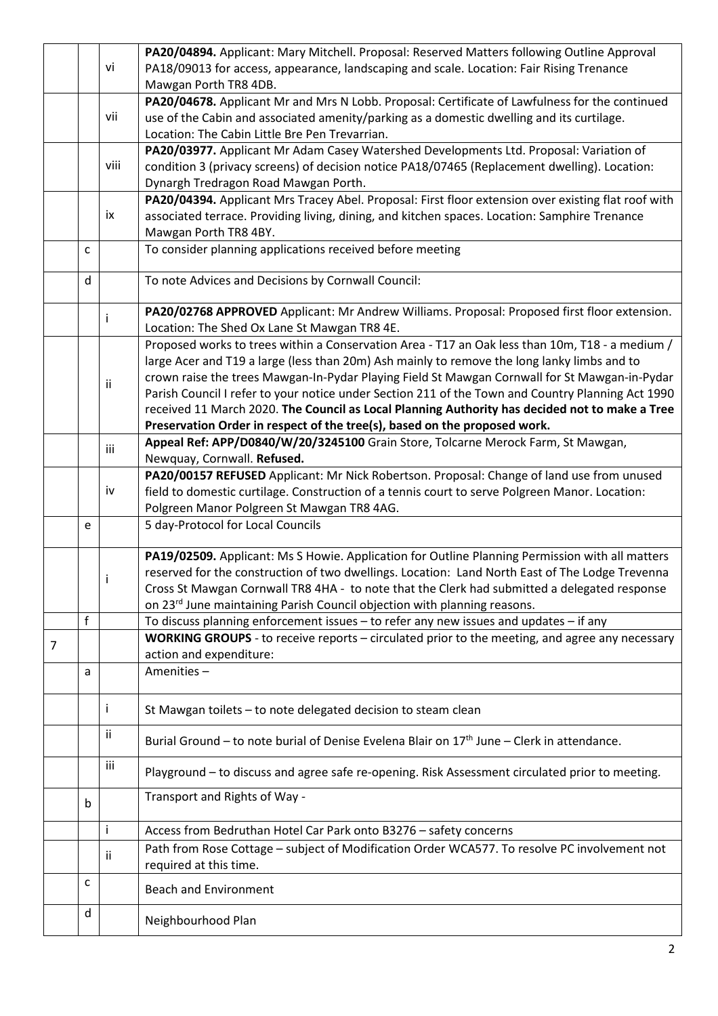|                |              |      | PA20/04894. Applicant: Mary Mitchell. Proposal: Reserved Matters following Outline Approval                            |
|----------------|--------------|------|------------------------------------------------------------------------------------------------------------------------|
|                |              | vi   | PA18/09013 for access, appearance, landscaping and scale. Location: Fair Rising Trenance                               |
|                |              |      | Mawgan Porth TR8 4DB.                                                                                                  |
|                |              |      | PA20/04678. Applicant Mr and Mrs N Lobb. Proposal: Certificate of Lawfulness for the continued                         |
|                |              | vii  | use of the Cabin and associated amenity/parking as a domestic dwelling and its curtilage.                              |
|                |              |      | Location: The Cabin Little Bre Pen Trevarrian.                                                                         |
|                |              |      | PA20/03977. Applicant Mr Adam Casey Watershed Developments Ltd. Proposal: Variation of                                 |
|                |              | viii | condition 3 (privacy screens) of decision notice PA18/07465 (Replacement dwelling). Location:                          |
|                |              |      |                                                                                                                        |
|                |              |      | Dynargh Tredragon Road Mawgan Porth.                                                                                   |
|                |              |      | PA20/04394. Applicant Mrs Tracey Abel. Proposal: First floor extension over existing flat roof with                    |
|                |              | ix   | associated terrace. Providing living, dining, and kitchen spaces. Location: Samphire Trenance                          |
|                |              |      | Mawgan Porth TR8 4BY.                                                                                                  |
|                | C            |      | To consider planning applications received before meeting                                                              |
|                | d            |      | To note Advices and Decisions by Cornwall Council:                                                                     |
|                |              | т    | PA20/02768 APPROVED Applicant: Mr Andrew Williams. Proposal: Proposed first floor extension.                           |
|                |              |      | Location: The Shed Ox Lane St Mawgan TR8 4E.                                                                           |
|                |              |      | Proposed works to trees within a Conservation Area - T17 an Oak less than 10m, T18 - a medium /                        |
|                |              |      | large Acer and T19 a large (less than 20m) Ash mainly to remove the long lanky limbs and to                            |
|                |              |      | crown raise the trees Mawgan-In-Pydar Playing Field St Mawgan Cornwall for St Mawgan-in-Pydar                          |
|                |              | ij.  | Parish Council I refer to your notice under Section 211 of the Town and Country Planning Act 1990                      |
|                |              |      | received 11 March 2020. The Council as Local Planning Authority has decided not to make a Tree                         |
|                |              |      | Preservation Order in respect of the tree(s), based on the proposed work.                                              |
|                |              |      | Appeal Ref: APP/D0840/W/20/3245100 Grain Store, Tolcarne Merock Farm, St Mawgan,                                       |
|                |              | iii  | Newquay, Cornwall. Refused.                                                                                            |
|                |              |      | PA20/00157 REFUSED Applicant: Mr Nick Robertson. Proposal: Change of land use from unused                              |
|                |              |      |                                                                                                                        |
|                |              | iv   | field to domestic curtilage. Construction of a tennis court to serve Polgreen Manor. Location:                         |
|                |              |      | Polgreen Manor Polgreen St Mawgan TR8 4AG.                                                                             |
|                | e            |      | 5 day-Protocol for Local Councils                                                                                      |
|                |              |      | PA19/02509. Applicant: Ms S Howie. Application for Outline Planning Permission with all matters                        |
|                |              |      | reserved for the construction of two dwellings. Location: Land North East of The Lodge Trevenna                        |
|                |              |      | Cross St Mawgan Cornwall TR8 4HA - to note that the Clerk had submitted a delegated response                           |
|                |              |      | on 23rd June maintaining Parish Council objection with planning reasons.                                               |
|                | f            |      | To discuss planning enforcement issues $-$ to refer any new issues and updates $-$ if any                              |
|                |              |      | WORKING GROUPS - to receive reports - circulated prior to the meeting, and agree any necessary                         |
| $\overline{7}$ |              |      | action and expenditure:                                                                                                |
|                | a            |      | Amenities-                                                                                                             |
|                |              |      |                                                                                                                        |
|                |              | i    | St Mawgan toilets - to note delegated decision to steam clean                                                          |
|                |              | ii.  | Burial Ground - to note burial of Denise Evelena Blair on 17 <sup>th</sup> June - Clerk in attendance.                 |
|                |              | iii  | Playground - to discuss and agree safe re-opening. Risk Assessment circulated prior to meeting.                        |
|                | $\mathsf{b}$ |      | Transport and Rights of Way -                                                                                          |
|                |              | Ť    | Access from Bedruthan Hotel Car Park onto B3276 - safety concerns                                                      |
|                |              |      |                                                                                                                        |
|                |              | Ϊİ   | Path from Rose Cottage - subject of Modification Order WCA577. To resolve PC involvement not<br>required at this time. |
|                | c            |      | <b>Beach and Environment</b>                                                                                           |
|                | d            |      |                                                                                                                        |
|                |              |      | Neighbourhood Plan                                                                                                     |